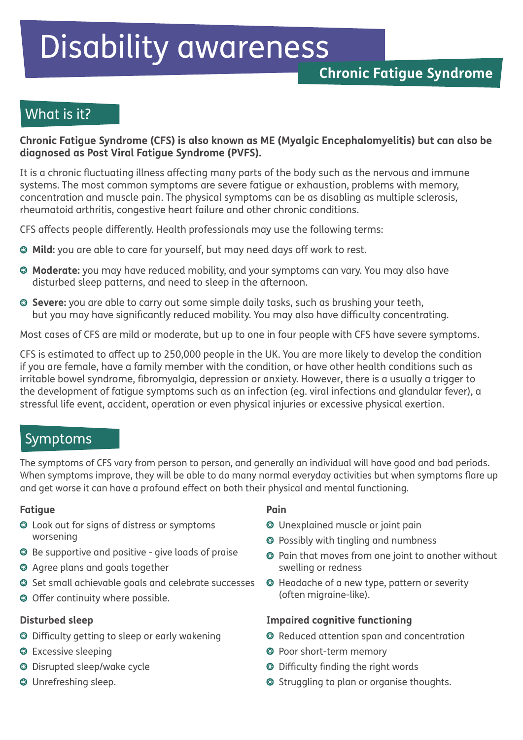# Disability awareness

## What is it?

#### **Chronic Fatigue Syndrome (CFS) is also known as ME (Myalgic Encephalomyelitis) but can also be diagnosed as Post Viral Fatigue Syndrome (PVFS).**

It is a chronic fluctuating illness affecting many parts of the body such as the nervous and immune systems. The most common symptoms are severe fatigue or exhaustion, problems with memory, concentration and muscle pain. The physical symptoms can be as disabling as multiple sclerosis, rheumatoid arthritis, congestive heart failure and other chronic conditions.

CFS affects people differently. Health professionals may use the following terms:

- **Mild:** you are able to care for yourself, but may need days off work to rest.
- **Moderate:** you may have reduced mobility, and your symptoms can vary. You may also have disturbed sleep patterns, and need to sleep in the afternoon.
- **Severe:** you are able to carry out some simple daily tasks, such as brushing your teeth, but you may have significantly reduced mobility. You may also have difficulty concentrating.

Most cases of CFS are mild or moderate, but up to one in four people with CFS have severe symptoms.

CFS is estimated to affect up to 250,000 people in the UK. You are more likely to develop the condition if you are female, have a family member with the condition, or have other health conditions such as irritable bowel syndrome, fibromyalgia, depression or anxiety. However, there is a usually a trigger to the development of fatigue symptoms such as an infection (eg. viral infections and glandular fever), a stressful life event, accident, operation or even physical injuries or excessive physical exertion.

## Symptoms

The symptoms of CFS vary from person to person, and generally an individual will have good and bad periods. When symptoms improve, they will be able to do many normal everyday activities but when symptoms flare up and get worse it can have a profound effect on both their physical and mental functioning.

#### **Fatigue**

- Look out for signs of distress or symptoms worsening
- Be supportive and positive give loads of praise
- Agree plans and goals together
- Set small achievable goals and celebrate successes
- O Offer continuity where possible.

#### **Disturbed sleep**

- Difficulty getting to sleep or early wakening
- **O** Excessive sleeping
- Disrupted sleep/wake cycle
- Unrefreshing sleep.

#### **Pain**

- Unexplained muscle or joint pain
- Possibly with tingling and numbness
- Pain that moves from one joint to another without swelling or redness
- Headache of a new type, pattern or severity (often migraine-like).

#### **Impaired cognitive functioning**

- Reduced attention span and concentration
- Poor short-term memory
- Difficulty finding the right words
- O Struggling to plan or organise thoughts.